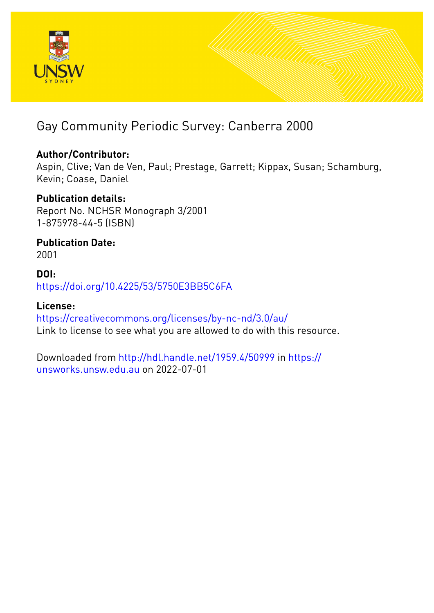

### Gay Community Periodic Survey: Canberra 2000

#### **Author/Contributor:**

Aspin, Clive; Van de Ven, Paul; Prestage, Garrett; Kippax, Susan; Schamburg, Kevin; Coase, Daniel

#### **Publication details:**

Report No. NCHSR Monograph 3/2001 1-875978-44-5 (ISBN)

**Publication Date:** 2001

#### **DOI:** [https://doi.org/10.4225/53/5750E3BB5C6FA](http://dx.doi.org/https://doi.org/10.4225/53/5750E3BB5C6FA)

#### **License:**

<https://creativecommons.org/licenses/by-nc-nd/3.0/au/> Link to license to see what you are allowed to do with this resource.

Downloaded from <http://hdl.handle.net/1959.4/50999> in [https://](https://unsworks.unsw.edu.au) [unsworks.unsw.edu.au](https://unsworks.unsw.edu.au) on 2022-07-01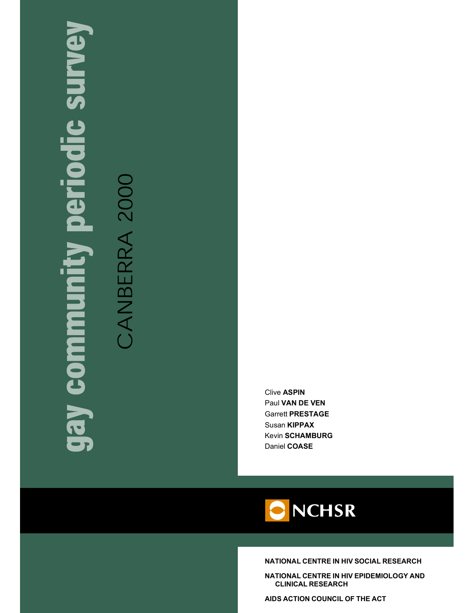# **C SUNIC** Π  $\mathbf{d}$ munoe Ken

CANBERRA 200

**Clive ASPIN** Paul VAN DE VEN **Garrett PRESTAGE** Susan KIPPAX **Kevin SCHAMBURG** Daniel COASE



NATIONAL CENTRE IN HIV SOCIAL RESEARCH

NATIONAL CENTRE IN HIV EPIDEMIOLOGY AND **CLINICAL RESEARCH** 

AIDS ACTION COUNCIL OF THE ACT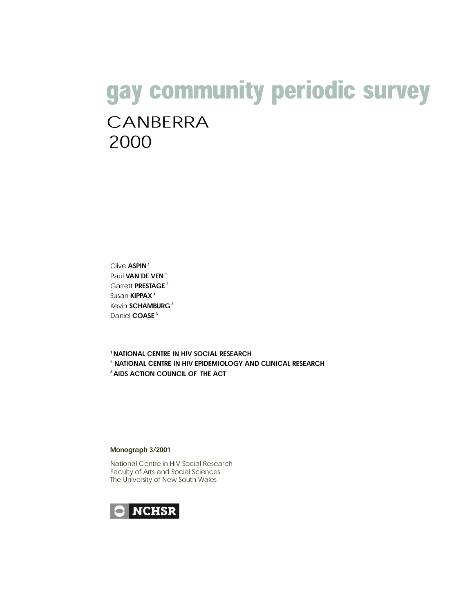## gay community periodic survey CANBERRA 2000

Clive ASPIN<sup>1</sup> Paul VAN DE VEN<sup>1</sup> Garrett PRESTAGE<sup>2</sup> Susan KIPPAX<sup>1</sup> Kevin SCHAMBURG<sup>3</sup> Daniel COASE<sup>3</sup>

<sup>1</sup> NATIONAL CENTRE IN HIV SOCIAL RESEARCH <sup>2</sup> NATIONAL CENTRE IN HIV EPIDEMIOLOGY AND CLINICAL RESEARCH <sup>3</sup> AIDS ACTION COUNCIL OF THE ACT

#### Monograph 3/2001

National Centre in HIV Social Research Faculty of Arts and Social Sciences The University of New South Wales

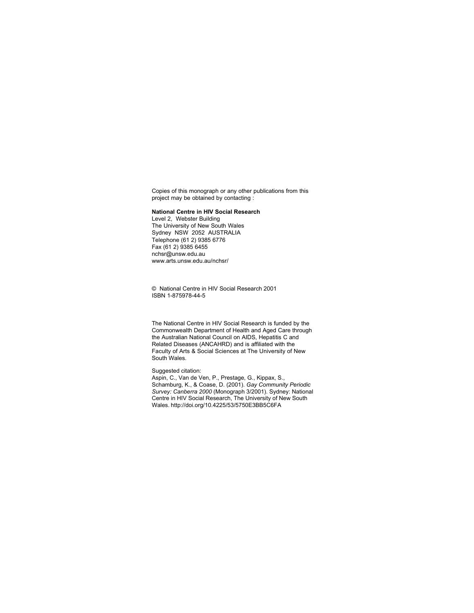Copies of this monograph or any other publications from this project may be obtained by contacting :

#### National Centre in HIV Social Research

Level 2, Webster Building The University of New South Wales Sydney NSW 2052 AUSTRALIA Telephone (61 2) 9385 6776 Fax  $(61 2)$  9385 6455  $nchsr@unsw.edu.au$ www.arts.unsw.edu.au/nchsr/

<sup>©</sup> National Centre in HIV Social Research 2001 ISBN 1-875978-44-5

The National Centre in HIV Social Research is funded by the Commonwealth Department of Health and Aged Care through the Australian National Council on AIDS, Hepatitis C and Related Diseases (ANCAHRD) and is affiliated with the Faculty of Arts & Social Sciences at The University of New South Wales.

#### Suggested citation:

Aspin, C., Van de Ven, P., Prestage, G., Kippax, S., Schamburg, K., & Coase, D. (2001). *Gay Community Periodic Survey: Canberra 2000* (Monograph 3/2001). Sydney: National Centre in HIV Social Research, The University of New South Wales. http://doi.org/10.4225/53/5750E3BB5C6FA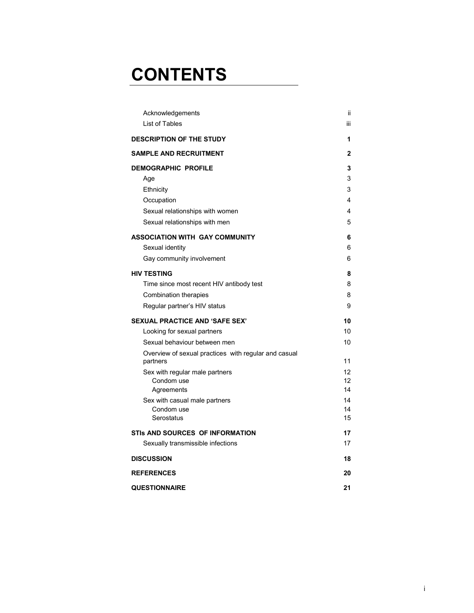## **CONTENTS**

| Acknowledgements                                                 | Ϊİ  |
|------------------------------------------------------------------|-----|
| List of Tables                                                   | iii |
| <b>DESCRIPTION OF THE STUDY</b>                                  | 1   |
| <b>SAMPLE AND RECRUITMENT</b>                                    | 2   |
| <b>DEMOGRAPHIC PROFILE</b>                                       | 3   |
| Age                                                              | 3   |
| Ethnicity                                                        | 3   |
| Occupation                                                       | 4   |
| Sexual relationships with women                                  | 4   |
| Sexual relationships with men                                    | 5   |
| <b>ASSOCIATION WITH GAY COMMUNITY</b>                            | 6   |
| Sexual identity                                                  | 6   |
| Gay community involvement                                        | 6   |
| <b>HIV TESTING</b>                                               | 8   |
| Time since most recent HIV antibody test                         | 8   |
| <b>Combination therapies</b>                                     | 8   |
| Regular partner's HIV status                                     | 9   |
| <b>SEXUAL PRACTICE AND 'SAFE SEX'</b>                            | 10  |
| Looking for sexual partners                                      | 10  |
| Sexual behaviour between men                                     | 10  |
| Overview of sexual practices with regular and casual<br>partners | 11  |
| Sex with regular male partners                                   | 12  |
| Condom use                                                       | 12  |
| Agreements                                                       | 14  |
| Sex with casual male partners                                    | 14  |
| Condom use                                                       | 14  |
| Serostatus                                                       | 15  |
| STIS AND SOURCES OF INFORMATION                                  | 17  |
| Sexually transmissible infections                                | 17  |
| <b>DISCUSSION</b>                                                | 18  |
| <b>REFERENCES</b>                                                | 20  |
| <b>QUESTIONNAIRE</b>                                             | 21  |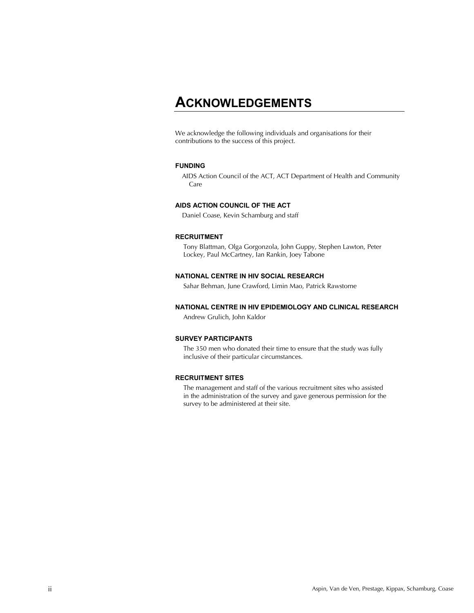#### ACKNOWLEDGEMENTS

We acknowledge the following individuals and organisations for their contributions to the success of this project.

#### **FUNDING**

AIDS Action Council of the ACT, ACT Department of Health and Community Care

#### AIDS ACTION COUNCIL OF THE ACT

Daniel Coase, Kevin Schamburg and staff

#### RECRUITMENT

Tony Blattman, Olga Gorgonzola, John Guppy, Stephen Lawton, Peter Lockey, Paul McCartney, Ian Rankin, Joey Tabone

#### NATIONAL CENTRE IN HIV SOCIAL RESEARCH

Sahar Behman, June Crawford, Limin Mao, Patrick Rawstorne

#### NATIONAL CENTRE IN HIV EPIDEMIOLOGY AND CLINICAL RESEARCH

Andrew Grulich, John Kaldor

#### **SURVEY PARTICIPANTS**

The 350 men who donated their time to ensure that the study was fully inclusive of their particular circumstances.

#### RECRUITMENT SITES

The management and staff of the various recruitment sites who assisted in the administration of the survey and gave generous permission for the survey to be administered at their site.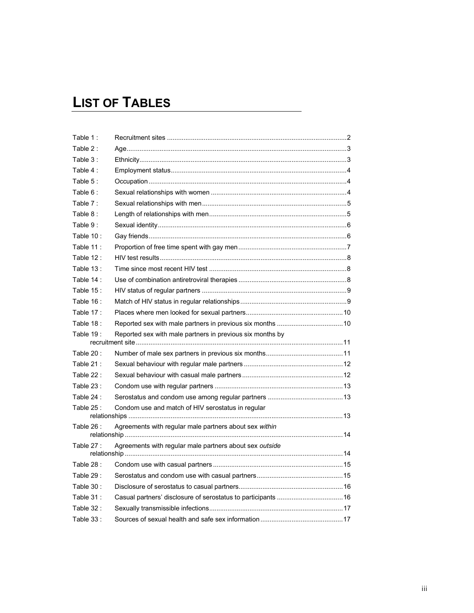## **LIST OF TABLES**

| Table 1:    |                                                               |
|-------------|---------------------------------------------------------------|
| Table 2:    |                                                               |
| Table 3:    |                                                               |
| Table 4:    |                                                               |
| Table 5:    |                                                               |
| Table 6:    |                                                               |
| Table 7:    |                                                               |
| Table 8:    |                                                               |
| Table 9:    |                                                               |
| Table 10:   |                                                               |
| Table 11:   |                                                               |
| Table 12:   |                                                               |
| Table $13:$ |                                                               |
| Table 14 :  |                                                               |
| Table 15:   |                                                               |
| Table 16:   |                                                               |
| Table 17:   |                                                               |
| Table 18:   |                                                               |
| Table 19:   | Reported sex with male partners in previous six months by     |
| Table 20:   |                                                               |
| Table 21:   |                                                               |
| Table 22:   |                                                               |
| Table 23:   |                                                               |
| Table 24 :  |                                                               |
| Table 25:   | Condom use and match of HIV serostatus in regular             |
| Table 26:   | Agreements with regular male partners about sex within        |
|             |                                                               |
| Table 27:   | Agreements with regular male partners about sex outside       |
| Table 28 :  |                                                               |
| Table 29:   |                                                               |
| Table 30:   |                                                               |
| Table 31:   | Casual partners' disclosure of serostatus to participants  16 |
| Table 32:   |                                                               |
| Table 33:   |                                                               |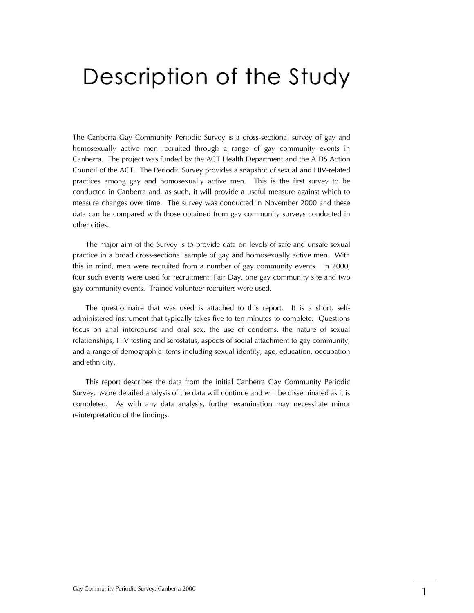## Description of the Study

The Canberra Gay Community Periodic Survey is a cross-sectional survey of gay and homosexually active men recruited through a range of gay community events in Canberra. The project was funded by the ACT Health Department and the AIDS Action Council of the ACT. The Periodic Survey provides a snapshot of sexual and HIV-related practices among gay and homosexually active men. This is the first survey to be conducted in Canberra and, as such, it will provide a useful measure against which to measure changes over time. The survey was conducted in November 2000 and these data can be compared with those obtained from gay community surveys conducted in other cities.

The major aim of the Survey is to provide data on levels of safe and unsafe sexual practice in a broad cross-sectional sample of gay and homosexually active men. With this in mind, men were recruited from a number of gay community events. In 2000, four such events were used for recruitment: Fair Day, one gay community site and two gay community events. Trained volunteer recruiters were used.

The questionnaire that was used is attached to this report. It is a short, selfadministered instrument that typically takes five to ten minutes to complete. Questions focus on anal intercourse and oral sex, the use of condoms, the nature of sexual relationships, HIV testing and serostatus, aspects of social attachment to gay community, and a range of demographic items including sexual identity, age, education, occupation and ethnicity.

This report describes the data from the initial Canberra Gay Community Periodic Survey. More detailed analysis of the data will continue and will be disseminated as it is completed. As with any data analysis, further examination may necessitate minor reinterpretation of the findings.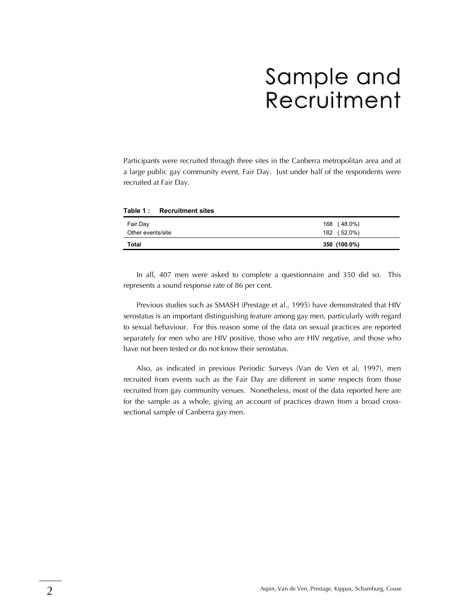## Sample and Recruitment

Participants were recruited through three sites in the Canberra metropolitan area and at a large public gay community event, Fair Day. Just under half of the respondents were recruited at Fair Day.

| Table 1: Recruitment sites |              |
|----------------------------|--------------|
| Fair Day                   | 168 (48.0%)  |
| Other events/site          | 182 (52.0%)  |
| <b>Total</b>               | 350 (100.0%) |

In all, 407 men were asked to complete a questionnaire and 350 did so. This represents a sound response rate of 86 per cent.

Previous studies such as SMASH (Prestage et al., 1995) have demonstrated that HIV serostatus is an important distinguishing feature among gay men, particularly with regard to sexual behaviour. For this reason some of the data on sexual practices are reported separately for men who are HIV positive, those who are HIV negative, and those who have not been tested or do not know their serostatus.

Also, as indicated in previous Periodic Surveys (Van de Ven et al, 1997), men recruited from events such as the Fair Day are different in some respects from those recruited from gay community venues. Nonetheless, most of the data reported here are for the sample as a whole, giving an account of practices drawn from a broad crosssectional sample of Canberra gay men.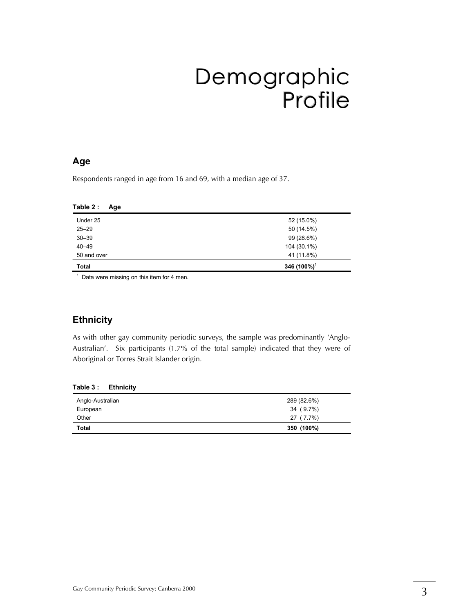## Demographic Profile

#### Age

Respondents ranged in age from 16 and 69, with a median age of 37.

| Table 2 :<br>Age |                         |
|------------------|-------------------------|
| Under 25         | 52 (15.0%)              |
| $25 - 29$        | 50 (14.5%)              |
| $30 - 39$        | 99 (28.6%)              |
| $40 - 49$        | 104 (30.1%)             |
| 50 and over      | 41 (11.8%)              |
| <b>Total</b>     | 346 (100%) <sup>1</sup> |

 $\frac{1}{1}$  Data were missing on this item for 4 men.

#### **Ethnicity**

As with other gay community periodic surveys, the sample was predominantly 'Anglo-Australian'. Six participants (1.7% of the total sample) indicated that they were of Aboriginal or Torres Strait Islander origin.

| Table 3 : | <b>Ethnicity</b> |
|-----------|------------------|
|-----------|------------------|

| Anglo-Australian | 289 (82.6%) |
|------------------|-------------|
| European         | 34 (9.7%)   |
| Other            | 27 (7.7%)   |
| <b>Total</b>     | 350 (100%)  |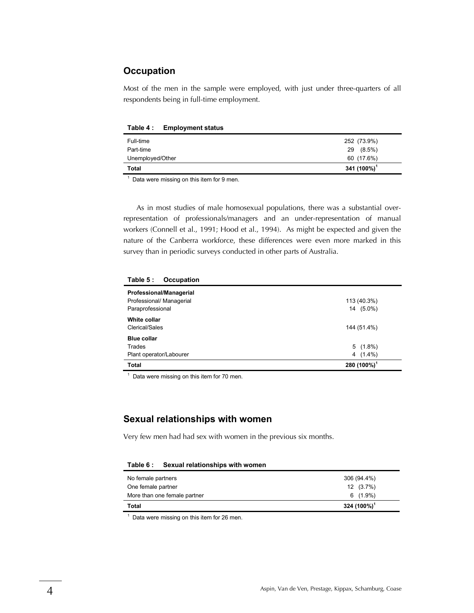#### Occupation

Most of the men in the sample were employed, with just under three-quarters of all respondents being in full-time employment.

Table 4: Employment status

Table 5 · Occupation

1

| Full-time        | 252 (73.9%)     |
|------------------|-----------------|
| Part-time        | $(8.5\%)$<br>29 |
| Unemployed/Other | 60 (17.6%)      |
| Total            | 341 $(100\%)^1$ |

 $<sup>1</sup>$  Data were missing on this item for 9 men.</sup>

As in most studies of male homosexual populations, there was a substantial overrepresentation of professionals/managers and an under-representation of manual workers (Connell et al., 1991; Hood et al., 1994). As might be expected and given the nature of the Canberra workforce, these differences were even more marked in this survey than in periodic surveys conducted in other parts of Australia.

| .<br><u>ooupuuvii</u>    |                 |
|--------------------------|-----------------|
| Professional/Managerial  |                 |
| Professional/ Managerial | 113 (40.3%)     |
| Paraprofessional         | 14 (5.0%)       |
| White collar             |                 |
| Clerical/Sales           | 144 (51.4%)     |
| <b>Blue collar</b>       |                 |
| Trades                   | $5(1.8\%)$      |
| Plant operator/Labourer  | $4(1.4\%)$      |
| Total                    | 280 $(100\%)^1$ |

Data were missing on this item for 70 men.

#### Sexual relationships with women

Very few men had had sex with women in the previous six months.

Table 6: Sexual relationships with women

| No female partners           | 306 (94.4%)     |
|------------------------------|-----------------|
| One female partner           | $12(3.7\%)$     |
| More than one female partner | $6(1.9\%)$      |
| Total                        | 324 $(100\%)^1$ |

 $<sup>1</sup>$  Data were missing on this item for 26 men.</sup>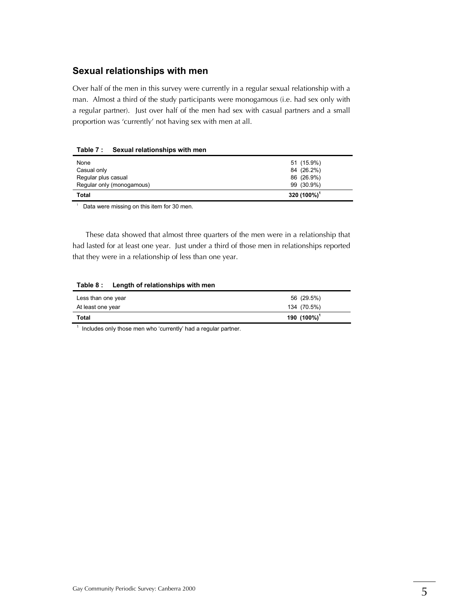#### Sexual relationships with men

Over half of the men in this survey were currently in a regular sexual relationship with a man. Almost a third of the study participants were monogamous (i.e. had sex only with a regular partner). Just over half of the men had sex with casual partners and a small proportion was 'currently' not having sex with men at all.

| Table 7 : | Sexual relationships with men |
|-----------|-------------------------------|
|-----------|-------------------------------|

| None                      | 51 (15.9%)      |
|---------------------------|-----------------|
| Casual only               | 84 (26.2%)      |
| Regular plus casual       | 86 (26.9%)      |
| Regular only (monogamous) | 99 (30.9%)      |
| Total                     | 320 $(100\%)^1$ |

Data were missing on this item for 30 men.

These data showed that almost three quarters of the men were in a relationship that had lasted for at least one year. Just under a third of those men in relationships reported that they were in a relationship of less than one year.

#### Table 8: Length of relationships with men

| Less than one year | 56 (29.5%)      |
|--------------------|-----------------|
| At least one year  | 134 (70.5%)     |
| Total              | 190 $(100\%)^1$ |

 $1$  Includes only those men who 'currently' had a regular partner.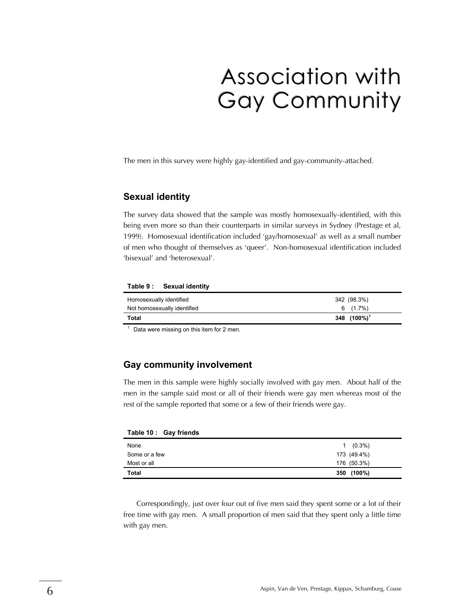## Association with Gay Community

The men in this survey were highly gay-identified and gay-community-attached.

#### **Sexual identity**

The survey data showed that the sample was mostly homosexually-identified, with this being even more so than their counterparts in similar surveys in Sydney (Prestage et al, 1999). Homosexual identification included 'gay/homosexual' as well as a small number of men who thought of themselves as 'queer'. Non-homosexual identification included 'bisexual' and 'heterosexual'.

#### Table 9: Sexual identity

| Homosexually identified     | 342 (98.3%)     |
|-----------------------------|-----------------|
| Not homosexually identified | 6 (1.7%)        |
| <b>Total</b>                | 348 $(100\%)^1$ |

Data were missing on this item for 2 men.

#### Gay community involvement

The men in this sample were highly socially involved with gay men. About half of the men in the sample said most or all of their friends were gay men whereas most of the rest of the sample reported that some or a few of their friends were gay.

| Table 10 : | <b>Gay friends</b> |
|------------|--------------------|
|------------|--------------------|

| None          | $1 (0.3\%)$   |
|---------------|---------------|
| Some or a few | 173 (49.4%)   |
| Most or all   | 176 (50.3%)   |
| <b>Total</b>  | (100%)<br>350 |

Correspondingly, just over four out of five men said they spent some or a lot of their free time with gay men. A small proportion of men said that they spent only a little time with gay men.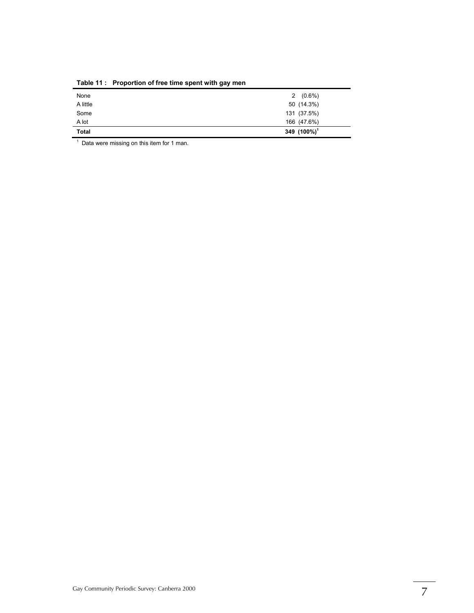| <b>Total</b> | 349 (100%) <sup>1</sup> |  |
|--------------|-------------------------|--|
| A lot        | 166 (47.6%)             |  |
| Some         | 131 (37.5%)             |  |
| A little     | 50 (14.3%)              |  |
| None         | $2(0.6\%)$              |  |

Table 11: Proportion of free time spent with gay men

<sup>1</sup> Data were missing on this item for 1 man.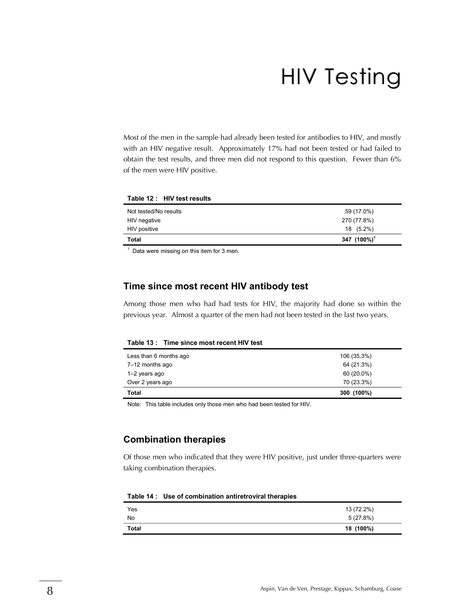# HIV Testing

Most of the men in the sample had already been tested for antibodies to HIV, and mostly with an HIV negative result. Approximately 17% had not been tested or had failed to obtain the test results, and three men did not respond to this question. Fewer than 6% of the men were HIV positive.

| Table 12 : HIV test results |                 |
|-----------------------------|-----------------|
| Not tested/No results       | 59 (17.0%)      |
| HIV negative                | 270 (77.8%)     |
| HIV positive                | 18 (5.2%)       |
| Total                       | 347 $(100\%)^1$ |

 $\frac{1}{1}$  Data were missing on this item for 3 men.

#### Time since most recent HIV antibody test

Among those men who had had tests for HIV, the majority had done so within the previous year. Almost a quarter of the men had not been tested in the last two years.

Table 13 : Time since most recent HIV test

| Less than 6 months ago | 106 (35.3%) |
|------------------------|-------------|
| 7-12 months ago        | 64 (21.3%)  |
| 1–2 years ago          | 60 (20.0%)  |
| Over 2 years ago       | 70 (23.3%)  |
| Total                  | 300 (100%)  |

Note: This table includes only those men who had been tested for HIV.

#### Combination therapies

Of those men who indicated that they were HIV positive, just under three-quarters were taking combination therapies.

| Table 14 : Use of combination antiretroviral therapies |
|--------------------------------------------------------|
|                                                        |

| Yes          | 13 (72.2%) |
|--------------|------------|
| <b>No</b>    | 5(27.8%)   |
| <b>Total</b> | 18 (100%)  |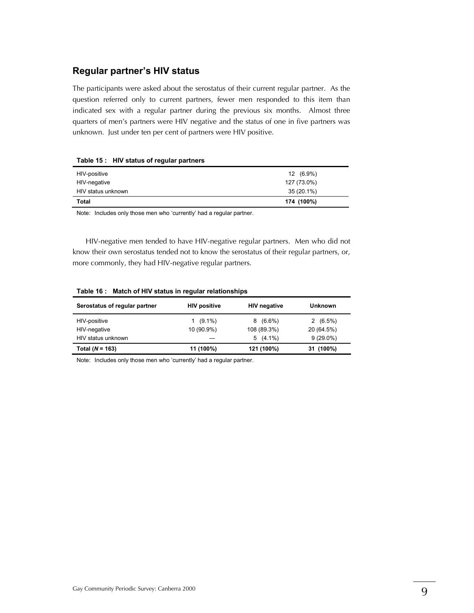#### Regular partner's HIV status

The participants were asked about the serostatus of their current regular partner. As the question referred only to current partners, fewer men responded to this item than indicated sex with a regular partner during the previous six months. Almost three quarters of men's partners were HIV negative and the status of one in five partners was unknown. Just under ten per cent of partners were HIV positive.

| HIV-positive       | 12 (6.9%)   |
|--------------------|-------------|
| HIV-negative       | 127 (73.0%) |
| HIV status unknown | 35 (20.1%)  |
| Total              | 174 (100%)  |

#### Table  $15:$  HIV status of requilar partners

Note: Includes only those men who 'currently' had a regular partner.

HIV-negative men tended to have HIV-negative regular partners. Men who did not know their own serostatus tended not to know the serostatus of their regular partners, or, more commonly, they had HIV-negative regular partners.

| Serostatus of regular partner | <b>HIV positive</b> | <b>HIV</b> negative | <b>Unknown</b> |  |
|-------------------------------|---------------------|---------------------|----------------|--|
| HIV-positive                  | $(9.1\%)$<br>1.     | $8(6.6\%)$          | $2(6.5\%)$     |  |
| HIV-negative                  | 10 (90.9%)          | 108 (89.3%)         | 20 (64.5%)     |  |
| HIV status unknown            |                     | $5(4.1\%)$          | $9(29.0\%)$    |  |
| Total ( $N = 163$ )           | 11 (100%)           | 121 (100%)          | 31 (100%)      |  |

#### Table 16: Match of HIV status in regular relationships

Note: Includes only those men who 'currently' had a regular partner.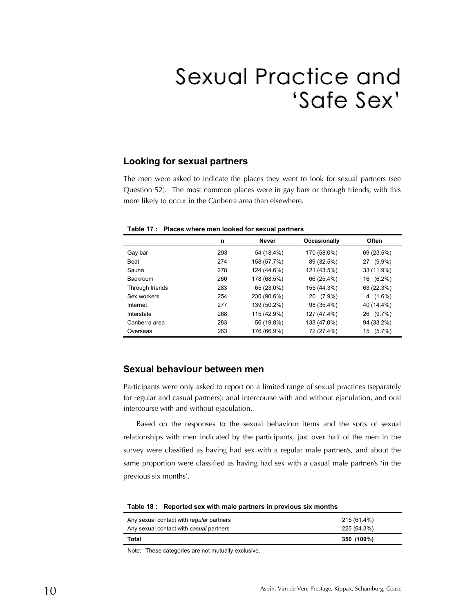## Sexual Practice and 'Safe Sex'

#### Looking for sexual partners

The men were asked to indicate the places they went to look for sexual partners (see Question 52). The most common places were in gay bars or through friends, with this more likely to occur in the Canberra area than elsewhere.

| Table 17: Places where men looked for sexual partners |
|-------------------------------------------------------|
|-------------------------------------------------------|

|                 | n   | <b>Never</b> | Occasionally | <b>Often</b>    |
|-----------------|-----|--------------|--------------|-----------------|
| Gay bar         | 293 | 54 (18.4%)   | 170 (58.0%)  | 69 (23.5%)      |
| Beat            | 274 | 158 (57.7%)  | 89 (32.5%)   | $(9.9\%)$<br>27 |
| Sauna           | 278 | 124 (44.6%)  | 121 (43.5%)  | 33 (11.9%)      |
| <b>Backroom</b> | 260 | 178 (68.5%)  | 66 (25.4%)   | $(6.2\%)$<br>16 |
| Through friends | 283 | 65 (23.0%)   | 155 (44.3%)  | 63 (22.3%)      |
| Sex workers     | 254 | 230 (90.6%)  | 20 (7.9%)    | $4(1.6\%)$      |
| Internet        | 277 | 139 (50.2%)  | 98 (35.4%)   | 40 (14.4%)      |
| Interstate      | 268 | 115 (42.9%)  | 127 (47.4%)  | $(9.7\%)$<br>26 |
| Canberra area   | 283 | 56 (19.8%)   | 133 (47.0%)  | 94 (33.2%)      |
| Overseas        | 263 | 176 (66.9%)  | 72 (27.4%)   | $(5.7\%)$<br>15 |

#### Sexual behaviour between men

Participants were only asked to report on a limited range of sexual practices (separately for regular and casual partners): anal intercourse with and without ejaculation, and oral intercourse with and without ejaculation.

Based on the responses to the sexual behaviour items and the sorts of sexual relationships with men indicated by the participants, just over half of the men in the survey were classified as having had sex with a regular male partner/s, and about the same proportion were classified as having had sex with a casual male partner/s 'in the previous six months'.

| Any sexual contact with regular partners | 215 (61.4%) |  |
|------------------------------------------|-------------|--|
| Any sexual contact with casual partners  | 225 (64.3%) |  |
| Total                                    | 350 (100%)  |  |

Table 18: Reported sex with male partners in previous six months

Note: These categories are not mutually exclusive.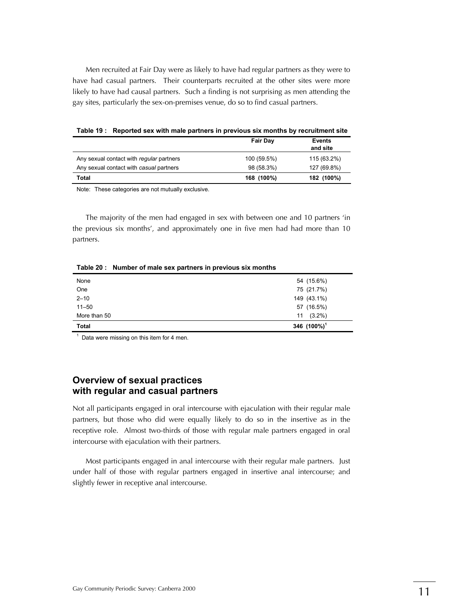Men recruited at Fair Day were as likely to have had regular partners as they were to have had casual partners. Their counterparts recruited at the other sites were more likely to have had causal partners. Such a finding is not surprising as men attending the gay sites, particularly the sex-on-premises venue, do so to find casual partners.

Table 19: Reported sex with male partners in previous six months by recruitment site

|                                          | <b>Fair Day</b> | <b>Events</b><br>and site |
|------------------------------------------|-----------------|---------------------------|
| Any sexual contact with regular partners | 100 (59.5%)     | 115 (63.2%)               |
| Any sexual contact with casual partners  | 98 (58.3%)      | 127 (69.8%)               |
| Total                                    | 168 (100%)      | 182 (100%)                |

Note: These categories are not mutually exclusive.

The majority of the men had engaged in sex with between one and 10 partners 'in the previous six months', and approximately one in five men had had more than 10 partners.

Table 20: Number of male sex partners in previous six months

| None         | 54 (15.6%)      |
|--------------|-----------------|
| One          | 75 (21.7%)      |
| $2 - 10$     | 149 (43.1%)     |
| $11 - 50$    | 57 (16.5%)      |
| More than 50 | $(3.2\%)$<br>11 |
| <b>Total</b> | 346 $(100\%)^1$ |

 $<sup>1</sup>$  Data were missing on this item for 4 men.</sup>

#### Overview of sexual practices with regular and casual partners

Not all participants engaged in oral intercourse with ejaculation with their regular male partners, but those who did were equally likely to do so in the insertive as in the receptive role. Almost two-thirds of those with regular male partners engaged in oral intercourse with ejaculation with their partners.

Most participants engaged in anal intercourse with their regular male partners. Just under half of those with regular partners engaged in insertive anal intercourse; and slightly fewer in receptive anal intercourse.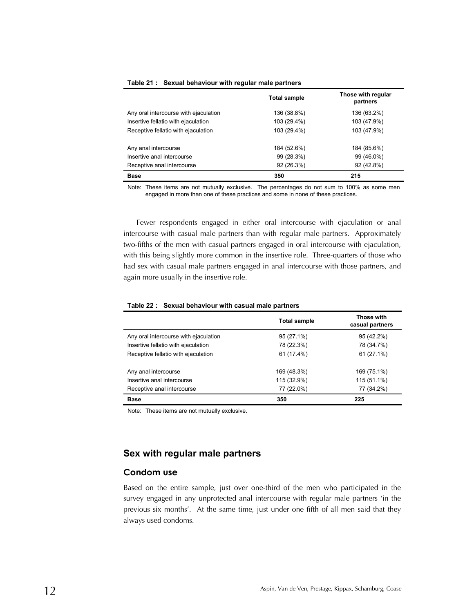|                                       | <b>Total sample</b> | Those with regular<br>partners |
|---------------------------------------|---------------------|--------------------------------|
| Any oral intercourse with ejaculation | 136 (38.8%)         | 136 (63.2%)                    |
| Insertive fellatio with ejaculation   | 103 (29.4%)         | 103 (47.9%)                    |
| Receptive fellatio with ejaculation   | 103 (29.4%)         | 103 (47.9%)                    |
| Any anal intercourse                  | 184 (52.6%)         | 184 (85.6%)                    |
| Insertive anal intercourse            | 99 (28.3%)          | 99 (46.0%)                     |
| Receptive anal intercourse            | 92 (26.3%)          | 92 (42.8%)                     |
| <b>Base</b>                           | 350                 | 215                            |

#### Table 21: Sexual behaviour with regular male partners

Note: These items are not mutually exclusive. The percentages do not sum to 100% as some men engaged in more than one of these practices and some in none of these practices.

Fewer respondents engaged in either oral intercourse with ejaculation or anal intercourse with casual male partners than with regular male partners. Approximately two-fifths of the men with casual partners engaged in oral intercourse with ejaculation, with this being slightly more common in the insertive role. Three-quarters of those who had sex with casual male partners engaged in anal intercourse with those partners, and again more usually in the insertive role.

#### Table 22 : Sexual behaviour with casual male partners

|                                       | <b>Total sample</b> | Those with<br>casual partners |
|---------------------------------------|---------------------|-------------------------------|
| Any oral intercourse with ejaculation | 95 (27.1%)          | 95 (42.2%)                    |
| Insertive fellatio with ejaculation   | 78 (22.3%)          | 78 (34.7%)                    |
| Receptive fellatio with ejaculation   | 61 (17.4%)          | 61 (27.1%)                    |
| Any anal intercourse                  | 169 (48.3%)         | 169 (75.1%)                   |
| Insertive anal intercourse            | 115 (32.9%)         | 115 (51.1%)                   |
| Receptive anal intercourse            | 77 (22.0%)          | 77 (34.2%)                    |
| <b>Base</b>                           | 350                 | 225                           |

Note: These items are not mutually exclusive.

#### Sex with regular male partners

#### **Condom use**

Based on the entire sample, just over one-third of the men who participated in the survey engaged in any unprotected anal intercourse with regular male partners 'in the previous six months'. At the same time, just under one fifth of all men said that they always used condoms.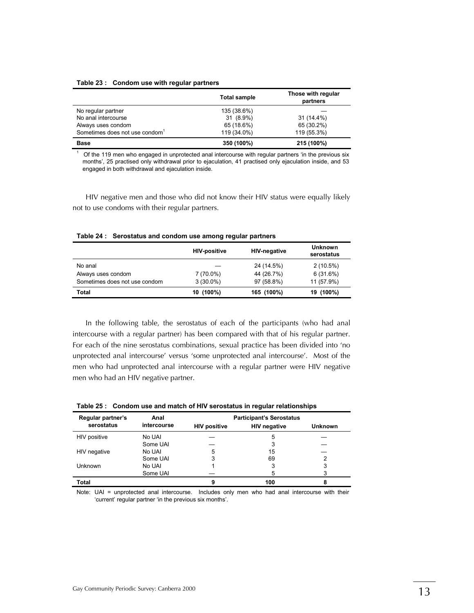#### Table 23 : Condom use with regular partners

|                                            | <b>Total sample</b> | Those with regular<br>partners |
|--------------------------------------------|---------------------|--------------------------------|
| No regular partner                         | 135 (38.6%)         |                                |
| No anal intercourse                        | 31 (8.9%)           | 31 (14.4%)                     |
| Always uses condom                         | 65 (18.6%)          | 65 (30.2%)                     |
| Sometimes does not use condom <sup>1</sup> | 119 (34.0%)         | 119 (55.3%)                    |
| <b>Base</b>                                | 350 (100%)          | 215 (100%)                     |

Of the 119 men who engaged in unprotected anal intercourse with regular partners 'in the previous six months', 25 practised only withdrawal prior to ejaculation, 41 practised only ejaculation inside, and 53 engaged in both withdrawal and ejaculation inside.

HIV negative men and those who did not know their HIV status were equally likely not to use condoms with their regular partners.

|                               | <b>HIV-positive</b> | <b>HIV-negative</b> | <b>Unknown</b><br>serostatus |
|-------------------------------|---------------------|---------------------|------------------------------|
| No anal                       |                     | 24 (14.5%)          | $2(10.5\%)$                  |
| Always uses condom            | 7 (70.0%)           | 44 (26.7%)          | 6(31.6%)                     |
| Sometimes does not use condom | $3(30.0\%)$         | 97 (58.8%)          | 11 (57.9%)                   |
| Total                         | 10 (100%)           | 165 (100%)          | 19 (100%)                    |

Table 24: Serostatus and condom use among regular partners

In the following table, the serostatus of each of the participants (who had anal intercourse with a regular partner) has been compared with that of his regular partner. For each of the nine serostatus combinations, sexual practice has been divided into 'no unprotected anal intercourse' versus 'some unprotected anal intercourse'. Most of the men who had unprotected anal intercourse with a regular partner were HIV negative men who had an HIV negative partner.

| Regular partner's | Anal        |                     | <b>Participant's Serostatus</b> |                |
|-------------------|-------------|---------------------|---------------------------------|----------------|
| serostatus        | intercourse | <b>HIV positive</b> | <b>HIV negative</b>             | <b>Unknown</b> |
| HIV positive      | No UAI      |                     | 5                               |                |
|                   | Some UAI    |                     | 3                               |                |
| HIV negative      | No UAI      | 5                   | 15                              |                |
|                   | Some UAI    | 3                   | 69                              | 2              |
| <b>Unknown</b>    | No UAI      |                     | 3                               | 3              |
|                   | Some UAI    |                     | 5                               | 3              |
| <b>Total</b>      |             | 9                   | 100                             | 8              |

Table 25 : Condom use and match of HIV serostatus in regular relationships

Note: UAI = unprotected anal intercourse. Includes only men who had anal intercourse with their 'current' regular partner 'in the previous six months'.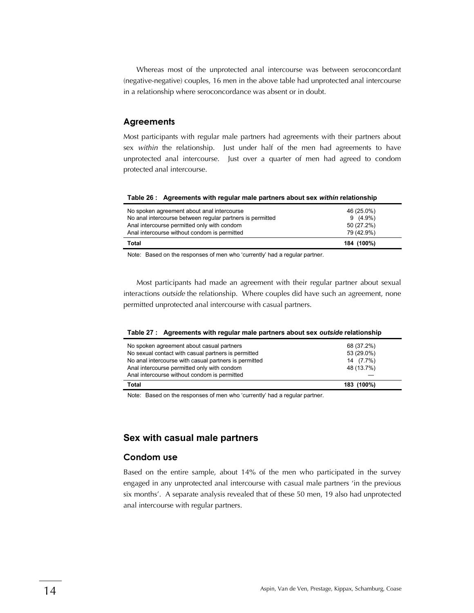Whereas most of the unprotected anal intercourse was between seroconcordant (negative-negative) couples, 16 men in the above table had unprotected anal intercourse in a relationship where seroconcordance was absent or in doubt.

#### **Agreements**

Most participants with regular male partners had agreements with their partners about sex *within* the relationship. Just under half of the men had agreements to have unprotected anal intercourse. Just over a quarter of men had agreed to condom protected anal intercourse.

#### Table 26 : Agreements with regular male partners about sex within relationship

| No spoken agreement about anal intercourse                | 46 (25.0%) |
|-----------------------------------------------------------|------------|
| No anal intercourse between regular partners is permitted | $9(4.9\%)$ |
| Anal intercourse permitted only with condom               | 50 (27.2%) |
| Anal intercourse without condom is permitted              | 79 (42.9%) |
| Total                                                     | 184 (100%) |

Note: Based on the responses of men who 'currently' had a regular partner.

Most participants had made an agreement with their regular partner about sexual interactions *outside* the relationship. Where couples did have such an agreement, none permitted unprotected anal intercourse with casual partners.

|  |  | Table 27 : Agreements with regular male partners about sex outside relationship |  |
|--|--|---------------------------------------------------------------------------------|--|
|--|--|---------------------------------------------------------------------------------|--|

| No spoken agreement about casual partners             | 68 (37.2%) |
|-------------------------------------------------------|------------|
| No sexual contact with casual partners is permitted   | 53 (29.0%) |
| No anal intercourse with casual partners is permitted | 14 (7.7%)  |
| Anal intercourse permitted only with condom           | 48 (13.7%) |
| Anal intercourse without condom is permitted          |            |
| Total                                                 | 183 (100%) |
|                                                       |            |

Note: Based on the responses of men who 'currently' had a regular partner.

#### Sex with casual male partners

#### **Condom use**

Based on the entire sample, about 14% of the men who participated in the survey engaged in any unprotected anal intercourse with casual male partners 'in the previous six months'. A separate analysis revealed that of these 50 men, 19 also had unprotected anal intercourse with regular partners.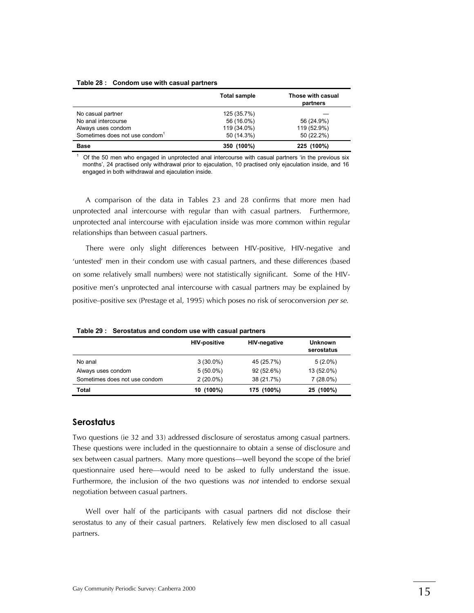#### Table 28 : Condom use with casual partners

|                                            | <b>Total sample</b> | Those with casual<br>partners |
|--------------------------------------------|---------------------|-------------------------------|
| No casual partner                          | 125 (35.7%)         |                               |
| No anal intercourse                        | 56 (16.0%)          | 56 (24.9%)                    |
| Always uses condom                         | 119 (34.0%)         | 119 (52.9%)                   |
| Sometimes does not use condom <sup>1</sup> | 50 (14.3%)          | 50 (22.2%)                    |
| <b>Base</b>                                | 350 (100%)          | 225 (100%)                    |

Of the 50 men who engaged in unprotected anal intercourse with casual partners 'in the previous six months', 24 practised only withdrawal prior to ejaculation, 10 practised only ejaculation inside, and 16 engaged in both withdrawal and ejaculation inside.

A comparison of the data in Tables 23 and 28 confirms that more men had unprotected anal intercourse with regular than with casual partners. Furthermore, unprotected anal intercourse with ejaculation inside was more common within regular relationships than between casual partners.

There were only slight differences between HIV-positive, HIV-negative and 'untested' men in their condom use with casual partners, and these differences (based on some relatively small numbers) were not statistically significant. Some of the HIVpositive men's unprotected anal intercourse with casual partners may be explained by positive-positive sex (Prestage et al, 1995) which poses no risk of seroconversion *per se.* 

|                               | <b>HIV-positive</b> | <b>HIV-negative</b> | <b>Unknown</b><br>serostatus |
|-------------------------------|---------------------|---------------------|------------------------------|
| No anal                       | $3(30.0\%)$         | 45 (25.7%)          | $5(2.0\%)$                   |
| Always uses condom            | $5(50.0\%)$         | 92(52.6%)           | 13 (52.0%)                   |
| Sometimes does not use condom | $2(20.0\%)$         | 38 (21.7%)          | $7(28.0\%)$                  |
| <b>Total</b>                  | 10 (100%)           | 175 (100%)          | 25 (100%)                    |

Table 29: Serostatus and condom use with casual partners

#### **Serostatus**

Two questions (ie 32 and 33) addressed disclosure of serostatus among casual partners. These questions were included in the questionnaire to obtain a sense of disclosure and sex between casual partners. Many more questions—well beyond the scope of the brief questionnaire used here—would need to be asked to fully understand the issue. Furthermore, the inclusion of the two questions was *not* intended to endorse sexual negotiation between casual partners.

Well over half of the participants with casual partners did not disclose their serostatus to any of their casual partners. Relatively few men disclosed to all casual partners.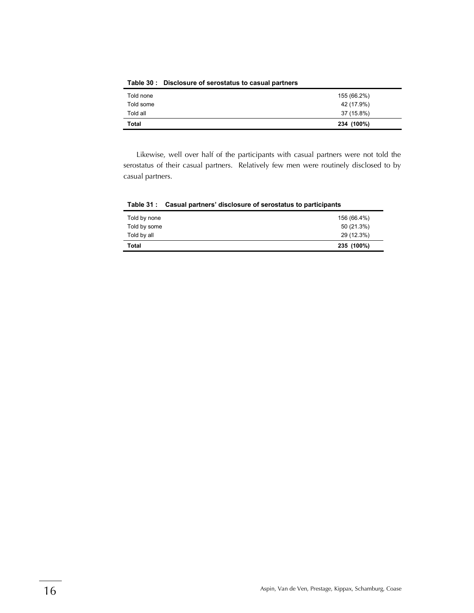| Told all<br><b>Total</b> | 37 (15.8%)<br>234 (100%) |
|--------------------------|--------------------------|
| Told some                | 42 (17.9%)               |
| Told none                | 155 (66.2%)              |

Table 30 : Disclosure of serostatus to casual partners

Likewise, well over half of the participants with casual partners were not told the serostatus of their casual partners. Relatively few men were routinely disclosed to by casual partners.

|              | $1.4810$ viii vadati partiidid aldeledale olideledatad te partielpallte |
|--------------|-------------------------------------------------------------------------|
| Told by none | 156 (66.4%)                                                             |
| Told by some | 50 (21.3%)                                                              |
| Told by all  | 29 (12.3%)                                                              |
| <b>Total</b> | 235 (100%)                                                              |

Table 31: Casual partners' disclosure of serostatus to participants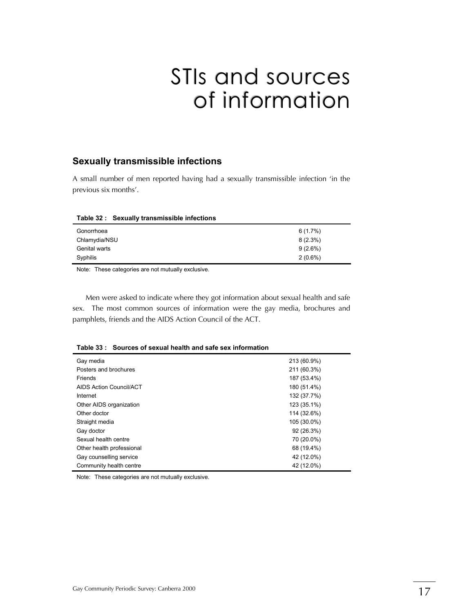## STIs and sources of information

#### Sexually transmissible infections

A small number of men reported having had a sexually transmissible infection 'in the previous six months'.

| $1.4810$ v= $1.9070401$ ; $0.41101111001810$ $11110001010$ |            |
|------------------------------------------------------------|------------|
| Gonorrhoea                                                 | 6(1.7%)    |
| Chlamydia/NSU                                              | $8(2.3\%)$ |
| Genital warts                                              | $9(2.6\%)$ |
| Syphilis                                                   | $2(0.6\%)$ |
|                                                            |            |

#### Table 32: Sexually transmissible infections

Note: These categories are not mutually exclusive.

Men were asked to indicate where they got information about sexual health and safe sex. The most common sources of information were the gay media, brochures and pamphlets, friends and the AIDS Action Council of the ACT.

|  | Table 33: Sources of sexual health and safe sex information |  |  |
|--|-------------------------------------------------------------|--|--|
|--|-------------------------------------------------------------|--|--|

| Gay media                 | 213 (60.9%) |
|---------------------------|-------------|
| Posters and brochures     | 211 (60.3%) |
| Friends                   | 187 (53.4%) |
| AIDS Action Council/ACT   | 180 (51.4%) |
| Internet                  | 132 (37.7%) |
| Other AIDS organization   | 123 (35.1%) |
| Other doctor              | 114 (32.6%) |
| Straight media            | 105 (30.0%) |
| Gay doctor                | 92 (26.3%)  |
| Sexual health centre      | 70 (20.0%)  |
| Other health professional | 68 (19.4%)  |
| Gay counselling service   | 42 (12.0%)  |
| Community health centre   | 42 (12.0%)  |

Note: These categories are not mutually exclusive.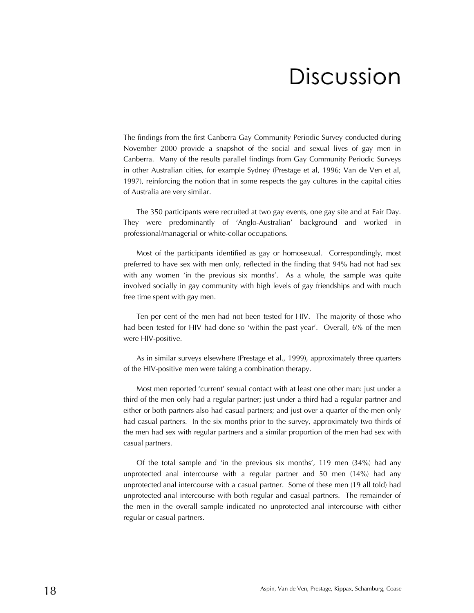## **Discussion**

The findings from the first Canberra Gay Community Periodic Survey conducted during November 2000 provide a snapshot of the social and sexual lives of gay men in Canberra. Many of the results parallel findings from Gay Community Periodic Surveys in other Australian cities, for example Sydney (Prestage et al, 1996; Van de Ven et al, 1997), reinforcing the notion that in some respects the gay cultures in the capital cities of Australia are very similar.

The 350 participants were recruited at two gay events, one gay site and at Fair Day. They were predominantly of 'Anglo-Australian' background and worked in professional/managerial or white-collar occupations.

Most of the participants identified as gay or homosexual. Correspondingly, most preferred to have sex with men only, reflected in the finding that 94% had not had sex with any women 'in the previous six months'. As a whole, the sample was quite involved socially in gay community with high levels of gay friendships and with much free time spent with gay men.

Ten per cent of the men had not been tested for HIV. The majority of those who had been tested for HIV had done so 'within the past year'. Overall, 6% of the men were HIV-positive.

As in similar surveys elsewhere (Prestage et al., 1999), approximately three quarters of the HIV-positive men were taking a combination therapy.

Most men reported 'current' sexual contact with at least one other man: just under a third of the men only had a regular partner; just under a third had a regular partner and either or both partners also had casual partners; and just over a quarter of the men only had casual partners. In the six months prior to the survey, approximately two thirds of the men had sex with regular partners and a similar proportion of the men had sex with casual partners.

Of the total sample and 'in the previous six months', 119 men  $(34%)$  had any unprotected anal intercourse with a regular partner and 50 men (14%) had any unprotected anal intercourse with a casual partner. Some of these men (19 all told) had unprotected anal intercourse with both regular and casual partners. The remainder of the men in the overall sample indicated no unprotected anal intercourse with either regular or casual partners.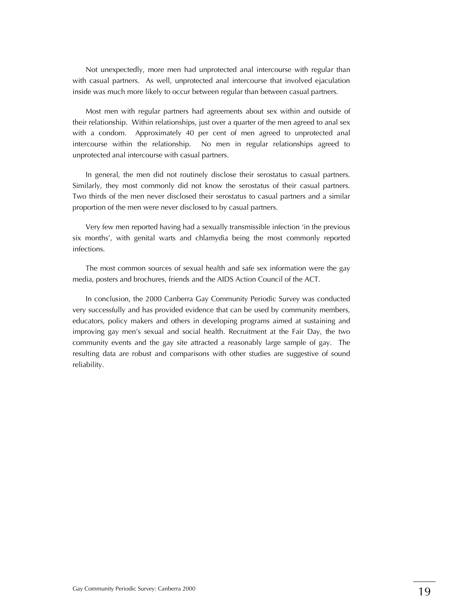Not unexpectedly, more men had unprotected anal intercourse with regular than with casual partners. As well, unprotected anal intercourse that involved ejaculation inside was much more likely to occur between regular than between casual partners.

Most men with regular partners had agreements about sex within and outside of their relationship. Within relationships, just over a quarter of the men agreed to anal sex with a condom. Approximately 40 per cent of men agreed to unprotected anal intercourse within the relationship. No men in regular relationships agreed to unprotected anal intercourse with casual partners.

In general, the men did not routinely disclose their serostatus to casual partners. Similarly, they most commonly did not know the serostatus of their casual partners. Two thirds of the men never disclosed their serostatus to casual partners and a similar proportion of the men were never disclosed to by casual partners.

Very few men reported having had a sexually transmissible infection 'in the previous six months', with genital warts and chlamydia being the most commonly reported infections.

The most common sources of sexual health and safe sex information were the gay media, posters and brochures, friends and the AIDS Action Council of the ACT.

In conclusion, the 2000 Canberra Gay Community Periodic Survey was conducted very successfully and has provided evidence that can be used by community members, educators, policy makers and others in developing programs aimed at sustaining and improving gay men's sexual and social health. Recruitment at the Fair Day, the two community events and the gay site attracted a reasonably large sample of gay. The resulting data are robust and comparisons with other studies are suggestive of sound reliability.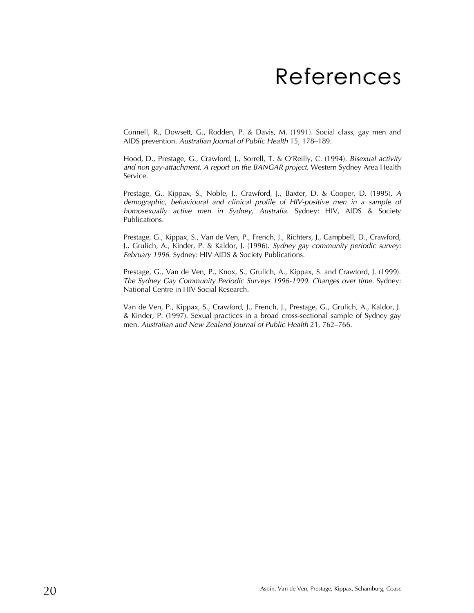## References

Connell, R., Dowsett, G., Rodden, P. & Davis, M. (1991). Social class, gay men and AIDS prevention. Australian Journal of Public Health 15, 178-189.

Hood, D., Prestage, G., Crawford, J., Sorrell, T. & O'Reilly, C. (1994). *Bisexual activity and non gay-attachment. A report on the BANGAR project*. Western Sydney Area Health Service.

Prestage, G., Kippax, S., Noble, J., Crawford, J., Baxter, D. & Cooper, D. (1995). *A demographic, behavioural and clinical profile of HIV-positive men in a sample of homosexually active men in Sydney, Australia*. Sydney: HIV, AIDS & Society Publications.

Prestage, G., Kippax, S., Van de Ven, P., French, J., Richters, J., Campbell, D., Crawford, J., Grulich, A., Kinder, P. & Kaldor, J. (1996). *Sydney gay community periodic survey: February 1996*. Sydney: HIV AIDS & Society Publications.

Prestage, G., Van de Ven, P., Knox, S., Grulich, A., Kippax, S. and Crawford, J. (1999). *The Sydney Gay Community Periodic Surveys 1996-1999. Changes over time.* Sydney: National Centre in HIV Social Research.

Van de Ven, P., Kippax, S., Crawford, J., French, J., Prestage, G., Grulich, A., Kaldor, J. & Kinder, P. (1997). Sexual practices in a broad cross-sectional sample of Sydney gay men. Australian and New Zealand Journal of Public Health 21, 762–766.